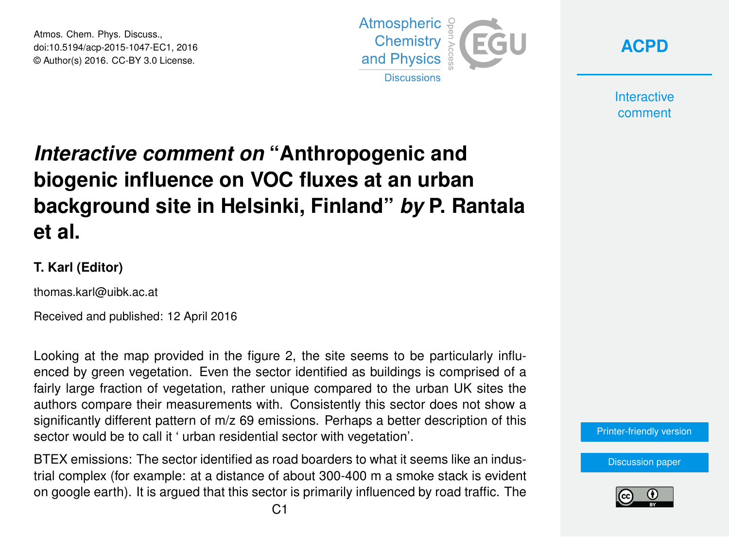Atmos. Chem. Phys. Discuss., doi:10.5194/acp-2015-1047-EC1, 2016 © Author(s) 2016. CC-BY 3.0 License.



**[ACPD](http://www.atmos-chem-phys-discuss.net/)**

**Interactive** comment

## *Interactive comment on* **"Anthropogenic and biogenic influence on VOC fluxes at an urban background site in Helsinki, Finland"** *by* **P. Rantala et al.**

## **T. Karl (Editor)**

thomas.karl@uibk.ac.at

Received and published: 12 April 2016

Looking at the map provided in the figure 2, the site seems to be particularly influenced by green vegetation. Even the sector identified as buildings is comprised of a fairly large fraction of vegetation, rather unique compared to the urban UK sites the authors compare their measurements with. Consistently this sector does not show a significantly different pattern of m/z 69 emissions. Perhaps a better description of this sector would be to call it ' urban residential sector with vegetation'.

BTEX emissions: The sector identified as road boarders to what it seems like an industrial complex (for example: at a distance of about 300-400 m a smoke stack is evident on google earth). It is argued that this sector is primarily influenced by road traffic. The



[Discussion paper](http://www.atmos-chem-phys-discuss.net/acp-2015-1047)